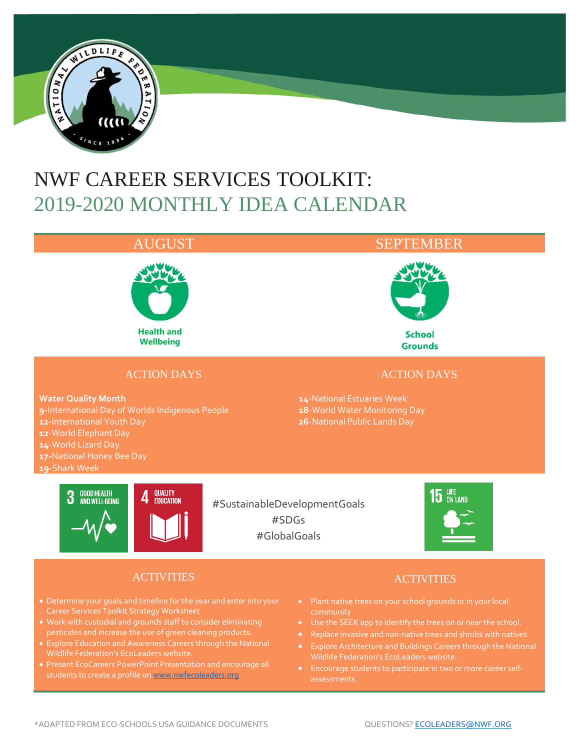

# NWF CAREER SERVICES TOOLKIT: 2019-2020 MONTHLY IDEA CALENDAR



### ACTION DAYS

**Water Quality Month 9-**International Day of Worlds Indigenous People **12-**International Youth Day **12**-World Elephant Day **14**-World Lizard Day **17-**National Honey Bee Day **19-**Shark Week

### AUGUST SEPTEMBER



**School Grounds** 

#### ACTION DAYS

**14**-National Estuaries Week **18**-World Water Monitoring Day **26**-National Public Lands Day



#SustainableDevelopmentGoals #SDGs #GlobalGoals



### ACTIVITIES

- Career Services Toolkit Strategy Worksheet
- Work with custodial and grounds staff to consider eliminating pesticides and increase the use of green cleaning products.
- Explore Education and Awareness Careers through the National Wildlife Federation's EcoLeaders website.
- Present EcoCareers PowerPoint Presentation and encourage all students to create a profile o[n www.nwfecoleaders.org](http://www.nwfecoleaders.org/)

- 
- Use the SEEK app to identify the trees on or near the school.
- 
- Explore Architecture and Buildings Careers through the National
- Encourage students to participate in two or more career selfassessments.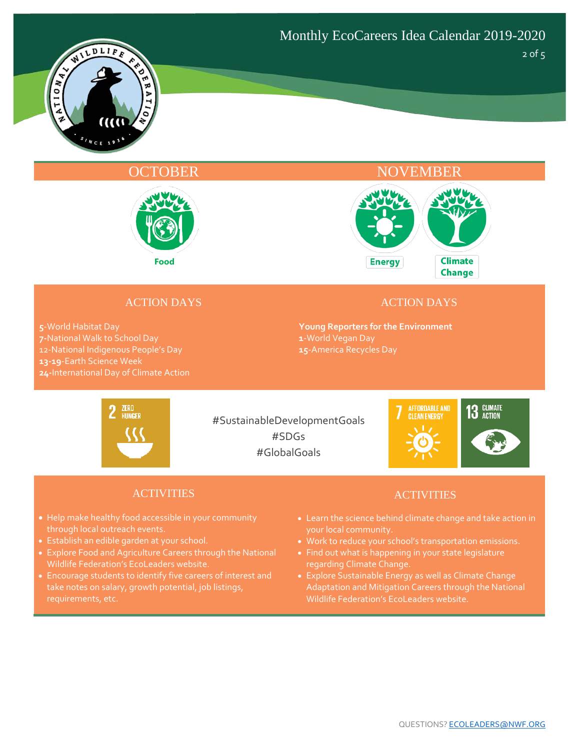



### OCTOBER NOVEMBER



#### ACTION DAYS

**5**-World Habitat Day **7-**National Walk to School Day 12-National Indigenous People's Day **13-19**-Earth Science Week **24-**International Day of Climate Action

#### ACTION DAYS

**Young Reporters for the Environment 1**-World Vegan Day **15**-America Recycles Day



#SustainableDevelopmentGoals #SDGs #GlobalGoals



#### ACTIVITIES

- Help make healthy food accessible in your community through local outreach events.
- Establish an edible garden at your school.
- Explore Food and Agriculture Careers through the National Wildlife Federation's EcoLeaders website.
- Encourage students to identify five careers of interest and take notes on salary, growth potential, job listings,

- Learn the science behind climate change and take action in your local community.
- Work to reduce your school's transportation emissions.
- Find out what is happening in your state legislature regarding Climate Change.
- Explore Sustainable Energy as well as Climate Change Adaptation and Mitigation Careers through the National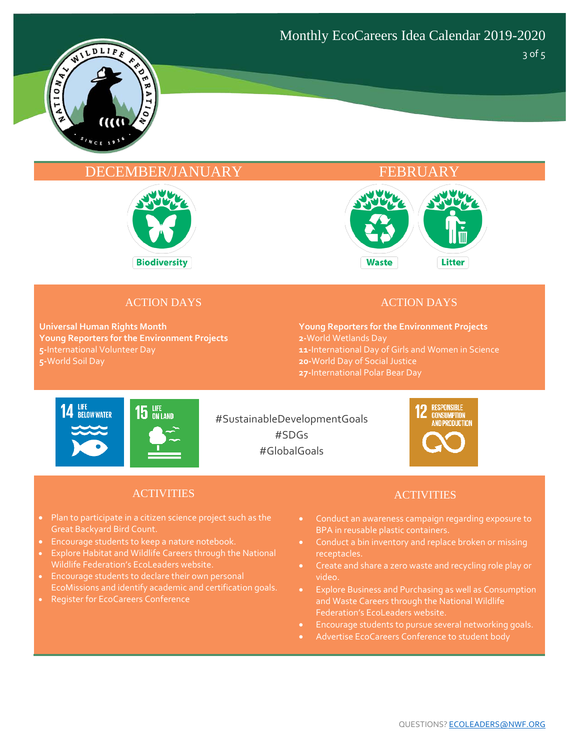

3 of 5

#### DECEMBER/JANUARY FEBRUARY





#### ACTION DAYS

**Universal Human Rights Month Young Reporters for the Environment Projects 5-**International Volunteer Day **5-**World Soil Day

#### ACTION DAYS

**Young Reporters for the Environment Projects 2-**World Wetlands Day **11-**International Day of Girls and Women in Science **20-**World Day of Social Justice **27-**International Polar Bear Day



#SustainableDevelopmentGoals #SDGs #GlobalGoals



#### ACTIVITIES

- Plan to participate in a citizen science project such as the Great Backyard Bird Count.
- Encourage students to keep a nature notebook.
- Explore Habitat and Wildlife Careers through the National Wildlife Federation's EcoLeaders website.
- Encourage students to declare their own personal EcoMissions and identify academic and certification goals.
- Register for EcoCareers Conference

- Conduct an awareness campaign regarding exposure to BPA in reusable plastic containers.
- Conduct a bin inventory and replace broken or missing receptacles.
- Create and share a zero waste and recycling role play or video.
- and Waste Careers through the National Wildlife Federation's EcoLeaders website.
- Encourage students to pursue several networking goals.
- Advertise EcoCareers Conference to student body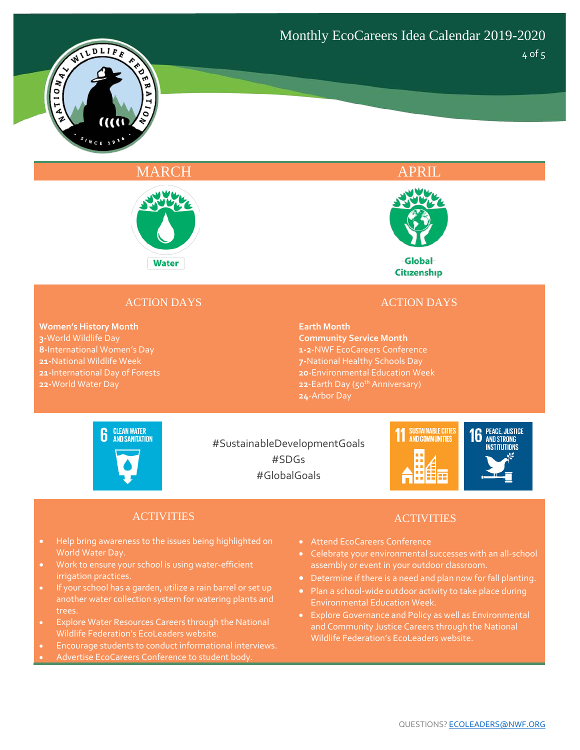

#### MARCH APRIL APRIL





Global Citizenship

#### ACTION DAYS

**Women's History Month 3-**World Wildlife Day **8-**International Women's Day **21-**National Wildlife Week **21-**International Day of Forests **22-**World Water Day

#### ACTION DAYS

#### **Earth Month**

**Community Service Month 1-2**-NWF EcoCareers Conference **7-**National Healthy Schools Day **20**-Environmental Education Week 22-Earth Day (50<sup>th</sup> Anniversary) **24**-Arbor Day



#SustainableDevelopmentGoals #SDGs #GlobalGoals



#### ACTIVITIES

- Help bring awareness to the issues being highlighted on World Water Day.
- Work to ensure your school is using water-efficient irrigation practices.
- another water collection system for watering plants and trees.
- Explore Water Resources Careers through the National
- Encourage students to conduct informational interviews.
- 

- Attend EcoCareers Conference
- Celebrate your environmental successes with an all-school
- Determine if there is a need and plan now for fall planting.
- Plan a school-wide outdoor activity to take place during Environmental Education Week.
-